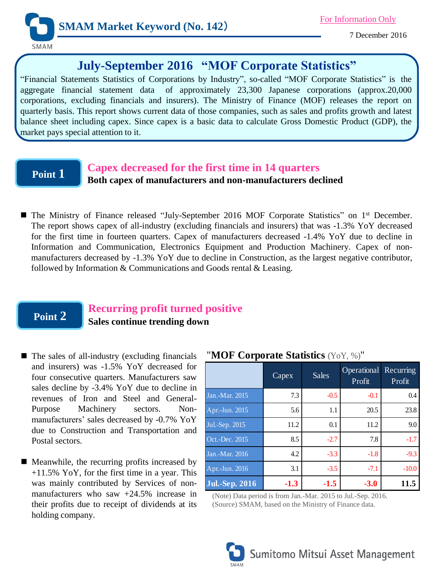

7 December 2016

# **July-September 2016 "MOF Corporate Statistics"**

"Financial Statements Statistics of Corporations by Industry", so-called "MOF Corporate Statistics" is the aggregate financial statement data of approximately 23,300 Japanese corporations (approx.20,000 corporations, excluding financials and insurers). The Ministry of Finance (MOF) releases the report on quarterly basis. This report shows current data of those companies, such as sales and profits growth and latest balance sheet including capex. Since capex is a basic data to calculate Gross Domestic Product (GDP), the market pays special attention to it.

# **Point 1**

## **Capex decreased for the first time in 14 quarters**

**Both capex of manufacturers and non-manufacturers declined**

■ The Ministry of Finance released "July-September 2016 MOF Corporate Statistics" on 1<sup>st</sup> December. The report shows capex of all-industry (excluding financials and insurers) that was -1.3% YoY decreased for the first time in fourteen quarters. Capex of manufacturers decreased -1.4% YoY due to decline in Information and Communication, Electronics Equipment and Production Machinery. Capex of nonmanufacturers decreased by -1.3% YoY due to decline in Construction, as the largest negative contributor, followed by Information & Communications and Goods rental & Leasing.

# **Point 2**

# **Recurring profit turned positive**

**Sales continue trending down**

- The sales of all-industry (excluding financials and insurers) was -1.5% YoY decreased for four consecutive quarters. Manufacturers saw sales decline by -3.4% YoY due to decline in revenues of Iron and Steel and General-Purpose Machinery sectors. Nonmanufacturers' sales decreased by -0.7% YoY due to Construction and Transportation and Postal sectors.
- Meanwhile, the recurring profits increased by +11.5% YoY, for the first time in a year. This was mainly contributed by Services of nonmanufacturers who saw +24.5% increase in their profits due to receipt of dividends at its holding company.

|                       | Capex  | Sales  | Operational<br>Profit | Recurring<br>Profit |
|-----------------------|--------|--------|-----------------------|---------------------|
| Jan.-Mar. 2015        | 7.3    | $-0.5$ | $-0.1$                | 0.4                 |
| Apr.-Jun. 2015        | 5.6    | 1.1    | 20.5                  | 23.8                |
| Jul.-Sep. 2015        | 11.2   | 0.1    | 11.2                  | 9.0                 |
| Oct.-Dec. 2015        | 8.5    | $-2.7$ | 7.8                   | $-1.7$              |
| Jan.-Mar. 2016        | 4.2    | $-3.3$ | $-1.8$                | $-9.3$              |
| Apr.-Jun. 2016        | 3.1    | $-3.5$ | $-7.1$                | $-10.0$             |
| <b>Jul.-Sep. 2016</b> | $-1.3$ | $-1.5$ | $-3.0$                | 11.5                |

### "**MOF Corporate Statistics** (YoY, %)"

(Note) Data period is from Jan.-Mar. 2015 to Jul.-Sep. 2016. (Source) SMAM, based on the Ministry of Finance data.